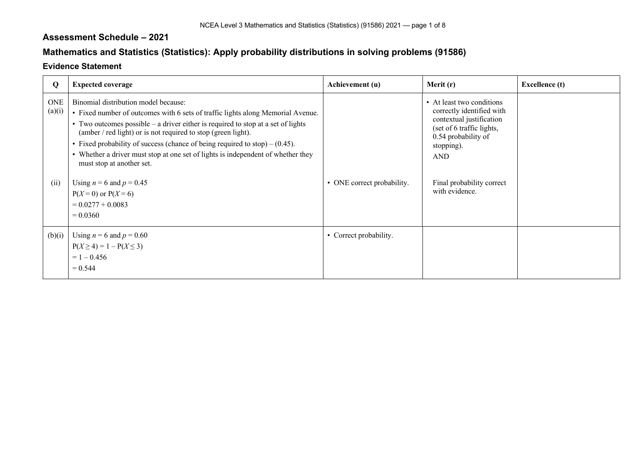## **Assessment Schedule – 2021**

## **Mathematics and Statistics (Statistics): Apply probability distributions in solving problems (91586)**

## **Evidence Statement**

| Q             | <b>Expected coverage</b>                                                                                                                                                                                                                                                                                                                                                                                                                                                        | Achievement (u)            | Merit (r)                                                                                                                                                          | <b>Excellence</b> (t) |
|---------------|---------------------------------------------------------------------------------------------------------------------------------------------------------------------------------------------------------------------------------------------------------------------------------------------------------------------------------------------------------------------------------------------------------------------------------------------------------------------------------|----------------------------|--------------------------------------------------------------------------------------------------------------------------------------------------------------------|-----------------------|
| ONE<br>(a)(i) | Binomial distribution model because:<br>• Fixed number of outcomes with 6 sets of traffic lights along Memorial Avenue.<br>• Two outcomes possible – a driver either is required to stop at a set of lights<br>(amber / red light) or is not required to stop (green light).<br>• Fixed probability of success (chance of being required to stop) $- (0.45)$ .<br>• Whether a driver must stop at one set of lights is independent of whether they<br>must stop at another set. |                            | • At least two conditions<br>correctly identified with<br>contextual justification<br>(set of 6 traffic lights,<br>0.54 probability of<br>stopping).<br><b>AND</b> |                       |
| (ii)          | Using $n = 6$ and $p = 0.45$<br>$P(X=0)$ or $P(X=6)$<br>$= 0.0277 + 0.0083$<br>$= 0.0360$                                                                                                                                                                                                                                                                                                                                                                                       | • ONE correct probability. | Final probability correct<br>with evidence.                                                                                                                        |                       |
| (b)(i)        | Using $n = 6$ and $p = 0.60$<br>$P(X \ge 4) = 1 - P(X \le 3)$<br>$= 1 - 0.456$<br>$= 0.544$                                                                                                                                                                                                                                                                                                                                                                                     | • Correct probability.     |                                                                                                                                                                    |                       |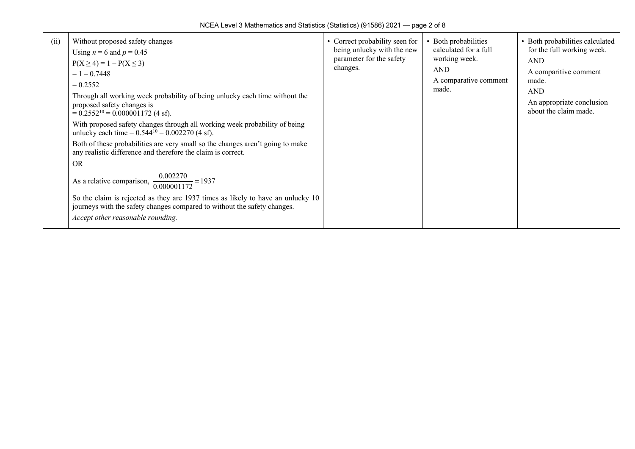| (i) | Without proposed safety changes<br>Using $n = 6$ and $p = 0.45$<br>$P(X \ge 4) = 1 - P(X \le 3)$<br>$= 1 - 0.7448$<br>$= 0.2552$<br>Through all working week probability of being unlucky each time without the<br>proposed safety changes is<br>$= 0.2552^{10} = 0.000001172$ (4 sf).<br>With proposed safety changes through all working week probability of being<br>unlucky each time = $0.544^{10} = 0.002270$ (4 sf).<br>Both of these probabilities are very small so the changes aren't going to make<br>any realistic difference and therefore the claim is correct.<br><b>OR</b><br>As a relative comparison, $\frac{0.002270}{0.000001172}$ = 1937<br>So the claim is rejected as they are 1937 times as likely to have an unlucky 10<br>journeys with the safety changes compared to without the safety changes.<br>Accept other reasonable rounding. | • Correct probability seen for<br>being unlucky with the new<br>parameter for the safety<br>changes. | • Both probabilities<br>calculated for a full<br>working week.<br><b>AND</b><br>A comparative comment<br>made. | • Both probabilities calculated<br>for the full working week.<br><b>AND</b><br>A comparitive comment<br>made.<br><b>AND</b><br>An appropriate conclusion<br>about the claim made. |
|-----|-------------------------------------------------------------------------------------------------------------------------------------------------------------------------------------------------------------------------------------------------------------------------------------------------------------------------------------------------------------------------------------------------------------------------------------------------------------------------------------------------------------------------------------------------------------------------------------------------------------------------------------------------------------------------------------------------------------------------------------------------------------------------------------------------------------------------------------------------------------------|------------------------------------------------------------------------------------------------------|----------------------------------------------------------------------------------------------------------------|-----------------------------------------------------------------------------------------------------------------------------------------------------------------------------------|
|-----|-------------------------------------------------------------------------------------------------------------------------------------------------------------------------------------------------------------------------------------------------------------------------------------------------------------------------------------------------------------------------------------------------------------------------------------------------------------------------------------------------------------------------------------------------------------------------------------------------------------------------------------------------------------------------------------------------------------------------------------------------------------------------------------------------------------------------------------------------------------------|------------------------------------------------------------------------------------------------------|----------------------------------------------------------------------------------------------------------------|-----------------------------------------------------------------------------------------------------------------------------------------------------------------------------------|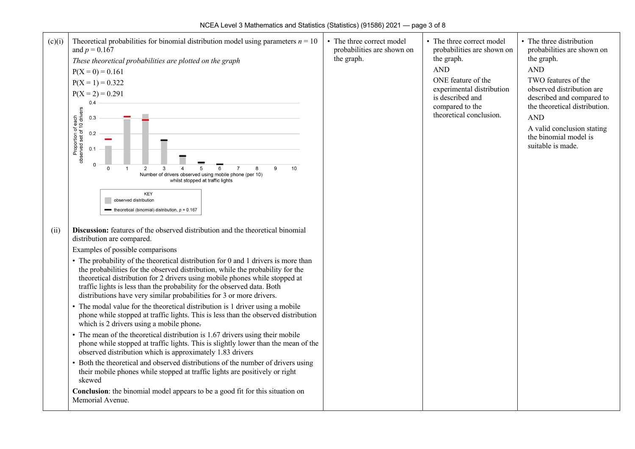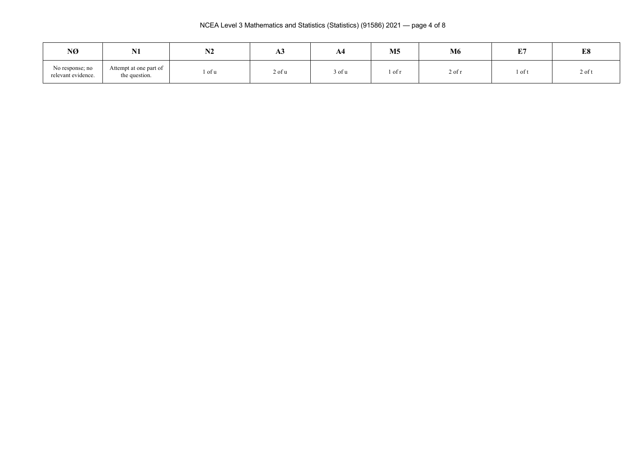NCEA Level 3 Mathematics and Statistics (Statistics) (91586) 2021 — page 4 of 8

| NØ                                    | <b>BT4</b><br>141                       | <b>BIA</b><br>1 V A | AJ     | A4               | M <sub>5</sub> | <b>M6</b> | <b>DO</b><br>. . | E8       |
|---------------------------------------|-----------------------------------------|---------------------|--------|------------------|----------------|-----------|------------------|----------|
| No response; no<br>relevant evidence. | Attempt at one part of<br>the question. | 'of u               | 2 of u | $\sim$<br>3 of u | l of r         | 2 of t    | l of t           | $2$ of t |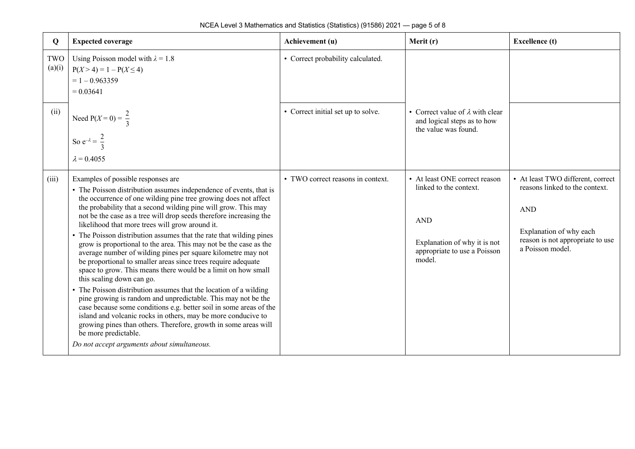| Q             | <b>Expected coverage</b>                                                                                                                                                                                                                                                                                                                                                                                                                                                                                                                                                                                                                                                                                                                                                                                                                                                                                                                                                                                                                                                                                                                                             | Achievement (u)                    | Merit (r)                                                                                                                                       | <b>Excellence</b> (t)                                                                                                                                                |
|---------------|----------------------------------------------------------------------------------------------------------------------------------------------------------------------------------------------------------------------------------------------------------------------------------------------------------------------------------------------------------------------------------------------------------------------------------------------------------------------------------------------------------------------------------------------------------------------------------------------------------------------------------------------------------------------------------------------------------------------------------------------------------------------------------------------------------------------------------------------------------------------------------------------------------------------------------------------------------------------------------------------------------------------------------------------------------------------------------------------------------------------------------------------------------------------|------------------------------------|-------------------------------------------------------------------------------------------------------------------------------------------------|----------------------------------------------------------------------------------------------------------------------------------------------------------------------|
| TWO<br>(a)(i) | Using Poisson model with $\lambda = 1.8$<br>$P(X > 4) = 1 - P(X \le 4)$<br>$= 1 - 0.963359$<br>$= 0.03641$                                                                                                                                                                                                                                                                                                                                                                                                                                                                                                                                                                                                                                                                                                                                                                                                                                                                                                                                                                                                                                                           | • Correct probability calculated.  |                                                                                                                                                 |                                                                                                                                                                      |
| (ii)          | Need $P(X = 0) = \frac{2}{3}$<br>So $e^{-\lambda} = \frac{2}{3}$<br>$\lambda = 0.4055$                                                                                                                                                                                                                                                                                                                                                                                                                                                                                                                                                                                                                                                                                                                                                                                                                                                                                                                                                                                                                                                                               | • Correct initial set up to solve. | • Correct value of $\lambda$ with clear<br>and logical steps as to how<br>the value was found.                                                  |                                                                                                                                                                      |
| (iii)         | Examples of possible responses are<br>• The Poisson distribution assumes independence of events, that is<br>the occurrence of one wilding pine tree growing does not affect<br>the probability that a second wilding pine will grow. This may<br>not be the case as a tree will drop seeds therefore increasing the<br>likelihood that more trees will grow around it.<br>The Poisson distribution assumes that the rate that wilding pines<br>grow is proportional to the area. This may not be the case as the<br>average number of wilding pines per square kilometre may not<br>be proportional to smaller areas since trees require adequate<br>space to grow. This means there would be a limit on how small<br>this scaling down can go.<br>The Poisson distribution assumes that the location of a wilding<br>pine growing is random and unpredictable. This may not be the<br>case because some conditions e.g. better soil in some areas of the<br>island and volcanic rocks in others, may be more conducive to<br>growing pines than others. Therefore, growth in some areas will<br>be more predictable.<br>Do not accept arguments about simultaneous. | • TWO correct reasons in context.  | • At least ONE correct reason<br>linked to the context.<br><b>AND</b><br>Explanation of why it is not<br>appropriate to use a Poisson<br>model. | • At least TWO different, correct<br>reasons linked to the context.<br><b>AND</b><br>Explanation of why each<br>reason is not appropriate to use<br>a Poisson model. |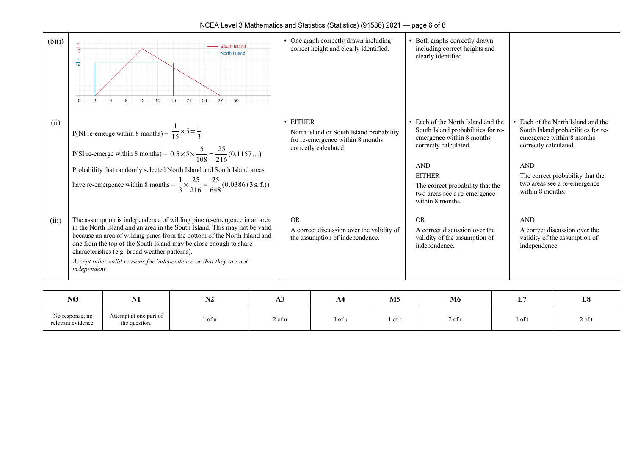| (b)(i) | South Island<br>$\frac{1}{12}$<br>North Island<br>15<br>21<br>27<br>30<br>12<br>15<br>18<br>24                                                                                                                                                                                                                                                                                                                                              | One graph correctly drawn including<br>correct height and clearly identified.                                     | Both graphs correctly drawn<br>including correct heights and<br>clearly identified.                                                                                                                                                                 |                                                                                                                                                                                                                                    |
|--------|---------------------------------------------------------------------------------------------------------------------------------------------------------------------------------------------------------------------------------------------------------------------------------------------------------------------------------------------------------------------------------------------------------------------------------------------|-------------------------------------------------------------------------------------------------------------------|-----------------------------------------------------------------------------------------------------------------------------------------------------------------------------------------------------------------------------------------------------|------------------------------------------------------------------------------------------------------------------------------------------------------------------------------------------------------------------------------------|
| (ii)   | P(NI re-emerge within 8 months) = $\frac{1}{15} \times 5 = \frac{1}{3}$<br>P(SI re-emerge within 8 months) = $0.5 \times 5 \times \frac{5}{108} = \frac{25}{216}(0.1157)$<br>Probability that randomly selected North Island and South Island areas<br>have re-emergence within 8 months = $\frac{1}{3} \times \frac{25}{216} = \frac{25}{648} (0.0386 (3 s.f.))$                                                                           | • EITHER<br>North island or South Island probability<br>for re-emergence within 8 months<br>correctly calculated. | Each of the North Island and the<br>South Island probabilities for re-<br>emergence within 8 months<br>correctly calculated.<br><b>AND</b><br><b>EITHER</b><br>The correct probability that the<br>two areas see a re-emergence<br>within 8 months. | Each of the North Island and the<br>South Island probabilities for re-<br>emergence within 8 months<br>correctly calculated.<br><b>AND</b><br>The correct probability that the<br>two areas see a re-emergence<br>within 8 months. |
| (iii)  | The assumption is independence of wilding pine re-emergence in an area<br>in the North Island and an area in the South Island. This may not be valid<br>because an area of wilding pines from the bottom of the North Island and<br>one from the top of the South Island may be close enough to share<br>characteristics (e.g. broad weather patterns).<br>Accept other valid reasons for independence or that they are not<br>independent. | <b>OR</b><br>A correct discussion over the validity of<br>the assumption of independence.                         | <b>OR</b><br>A correct discussion over the<br>validity of the assumption of<br>independence.                                                                                                                                                        | <b>AND</b><br>A correct discussion over the<br>validity of the assumption of<br>independence                                                                                                                                       |

| NØ                                    | <b>LYA</b>                              | 194    | AJ     | A4     | M <sub>5</sub> | <b>M6</b> | $\mathbf{r}$<br>щ. | E8       |
|---------------------------------------|-----------------------------------------|--------|--------|--------|----------------|-----------|--------------------|----------|
| No response; no<br>relevant evidence. | Attempt at one part of<br>the question. | l of u | 2 of u | 3 of u | 1 of 1         | 2 of r    | 1 of t             | $2$ of t |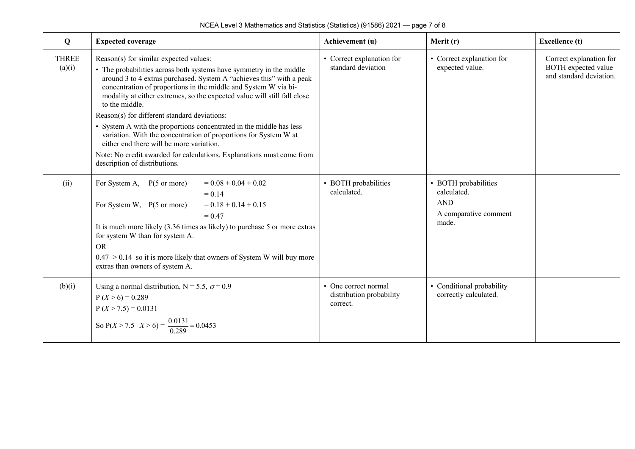| Q                      | <b>Expected coverage</b>                                                                                                                                                                                                                                                                                                                                                                                                                                                                                                                                                                                                                                                                                | Achievement (u)                                              | Merit (r)                                                                           | <b>Excellence</b> (t)                                                     |
|------------------------|---------------------------------------------------------------------------------------------------------------------------------------------------------------------------------------------------------------------------------------------------------------------------------------------------------------------------------------------------------------------------------------------------------------------------------------------------------------------------------------------------------------------------------------------------------------------------------------------------------------------------------------------------------------------------------------------------------|--------------------------------------------------------------|-------------------------------------------------------------------------------------|---------------------------------------------------------------------------|
| <b>THREE</b><br>(a)(i) | Reason(s) for similar expected values:<br>• The probabilities across both systems have symmetry in the middle<br>around 3 to 4 extras purchased. System A "achieves this" with a peak<br>concentration of proportions in the middle and System W via bi-<br>modality at either extremes, so the expected value will still fall close<br>to the middle.<br>Reason(s) for different standard deviations:<br>• System A with the proportions concentrated in the middle has less<br>variation. With the concentration of proportions for System W at<br>either end there will be more variation.<br>Note: No credit awarded for calculations. Explanations must come from<br>description of distributions. | • Correct explanation for<br>standard deviation              | • Correct explanation for<br>expected value.                                        | Correct explanation for<br>BOTH expected value<br>and standard deviation. |
| (ii)                   | $= 0.08 + 0.04 + 0.02$<br>For System A, $P(5 \text{ or more})$<br>$= 0.14$<br>For System W, $P(5 \text{ or more})$<br>$= 0.18 + 0.14 + 0.15$<br>$= 0.47$<br>It is much more likely (3.36 times as likely) to purchase 5 or more extras<br>for system W than for system A.<br><b>OR</b><br>$0.47 > 0.14$ so it is more likely that owners of System W will buy more<br>extras than owners of system A.                                                                                                                                                                                                                                                                                                   | • BOTH probabilities<br>calculated.                          | • BOTH probabilities<br>calculated.<br><b>AND</b><br>A comparative comment<br>made. |                                                                           |
| (b)(i)                 | Using a normal distribution, N = 5.5, $\sigma$ = 0.9<br>$P(X>6) = 0.289$<br>$P(X > 7.5) = 0.0131$<br>So $P(X > 7.5   X > 6) = \frac{0.0131}{0.289} = 0.0453$                                                                                                                                                                                                                                                                                                                                                                                                                                                                                                                                            | • One correct normal<br>distribution probability<br>correct. | • Conditional probability<br>correctly calculated.                                  |                                                                           |